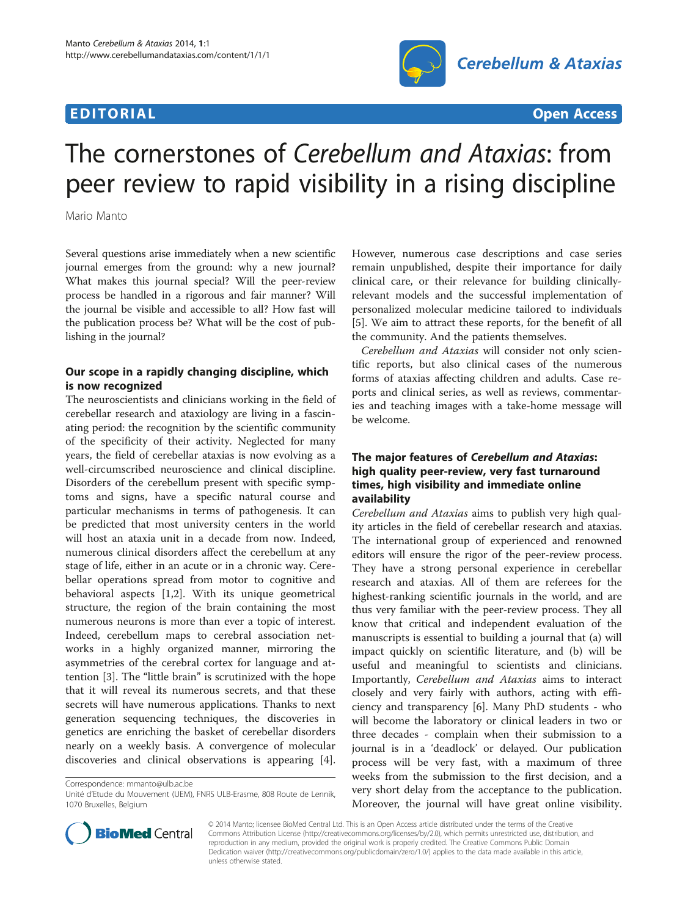## **EDITORIAL** CONSTRUCTION CONTINUES AND CONSTRUCT OF THE CONSTRUCTION OPEN ACCESS O



# The cornerstones of Cerebellum and Ataxias: from peer review to rapid visibility in a rising discipline

Mario Manto

Several questions arise immediately when a new scientific journal emerges from the ground: why a new journal? What makes this journal special? Will the peer-review process be handled in a rigorous and fair manner? Will the journal be visible and accessible to all? How fast will the publication process be? What will be the cost of publishing in the journal?

### Our scope in a rapidly changing discipline, which is now recognized

The neuroscientists and clinicians working in the field of cerebellar research and ataxiology are living in a fascinating period: the recognition by the scientific community of the specificity of their activity. Neglected for many years, the field of cerebellar ataxias is now evolving as a well-circumscribed neuroscience and clinical discipline. Disorders of the cerebellum present with specific symptoms and signs, have a specific natural course and particular mechanisms in terms of pathogenesis. It can be predicted that most university centers in the world will host an ataxia unit in a decade from now. Indeed, numerous clinical disorders affect the cerebellum at any stage of life, either in an acute or in a chronic way. Cerebellar operations spread from motor to cognitive and behavioral aspects [\[1,2](#page-1-0)]. With its unique geometrical structure, the region of the brain containing the most numerous neurons is more than ever a topic of interest. Indeed, cerebellum maps to cerebral association networks in a highly organized manner, mirroring the asymmetries of the cerebral cortex for language and attention [\[3\]](#page-1-0). The "little brain" is scrutinized with the hope that it will reveal its numerous secrets, and that these secrets will have numerous applications. Thanks to next generation sequencing techniques, the discoveries in genetics are enriching the basket of cerebellar disorders nearly on a weekly basis. A convergence of molecular discoveries and clinical observations is appearing [\[4](#page-1-0)].

Correspondence: [mmanto@ulb.ac.be](mailto:mmanto@ulb.ac.be)



Cerebellum and Ataxias will consider not only scientific reports, but also clinical cases of the numerous forms of ataxias affecting children and adults. Case reports and clinical series, as well as reviews, commentaries and teaching images with a take-home message will be welcome.

### The major features of Cerebellum and Ataxias: high quality peer-review, very fast turnaround times, high visibility and immediate online availability

Cerebellum and Ataxias aims to publish very high quality articles in the field of cerebellar research and ataxias. The international group of experienced and renowned editors will ensure the rigor of the peer-review process. They have a strong personal experience in cerebellar research and ataxias. All of them are referees for the highest-ranking scientific journals in the world, and are thus very familiar with the peer-review process. They all know that critical and independent evaluation of the manuscripts is essential to building a journal that (a) will impact quickly on scientific literature, and (b) will be useful and meaningful to scientists and clinicians. Importantly, Cerebellum and Ataxias aims to interact closely and very fairly with authors, acting with efficiency and transparency [\[6](#page-1-0)]. Many PhD students - who will become the laboratory or clinical leaders in two or three decades - complain when their submission to a journal is in a 'deadlock' or delayed. Our publication process will be very fast, with a maximum of three weeks from the submission to the first decision, and a very short delay from the acceptance to the publication. Moreover, the journal will have great online visibility.



© 2014 Manto; licensee BioMed Central Ltd. This is an Open Access article distributed under the terms of the Creative Commons Attribution License [\(http://creativecommons.org/licenses/by/2.0\)](http://creativecommons.org/licenses/by/2.0), which permits unrestricted use, distribution, and reproduction in any medium, provided the original work is properly credited. The Creative Commons Public Domain Dedication waiver [\(http://creativecommons.org/publicdomain/zero/1.0/](http://creativecommons.org/publicdomain/zero/1.0/)) applies to the data made available in this article, unless otherwise stated.

Unité d'Etude du Mouvement (UEM), FNRS ULB-Erasme, 808 Route de Lennik, 1070 Bruxelles, Belgium